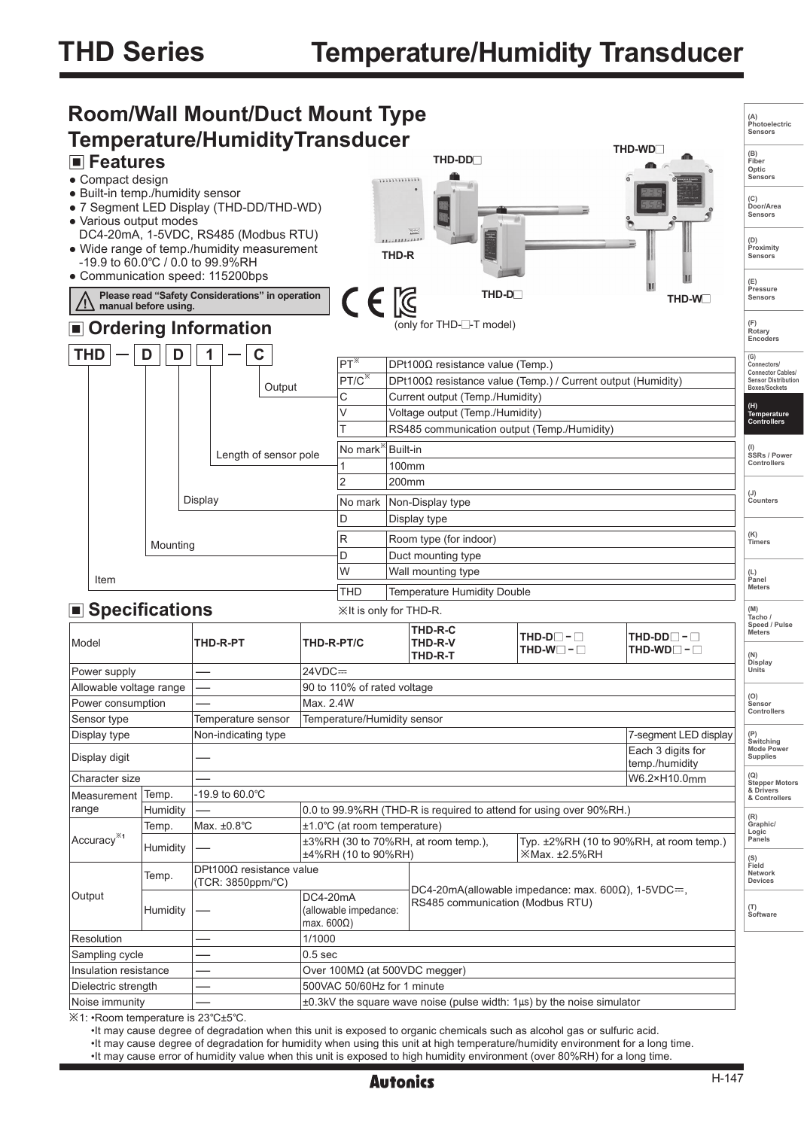

•It may cause degree of degradation when this unit is exposed to organic chemicals such as alcohol gas or sulfuric acid.

•It may cause degree of degradation for humidity when using this unit at high temperature/humidity environment for a long time.

•It may cause error of humidity value when this unit is exposed to high humidity environment (over 80%RH) for a long time.

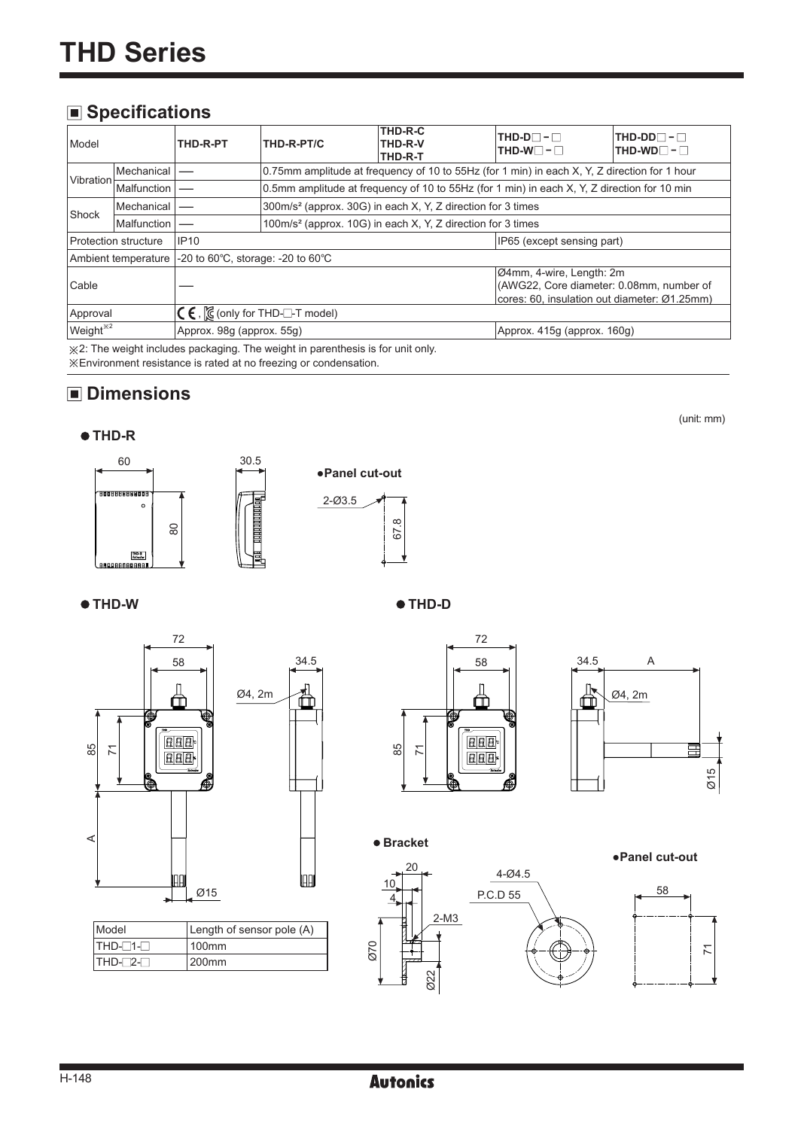# **Specifications**

| Model<br>THD-R-PT                                                                    |                     | THD-R-PT/C                                            | THD-R-C<br>THD-R-V<br>THD-R-T                                           | $THD-D$ - $\Box$<br>$THD-W$ $-$                                                              | $THD-DD$ - $\Box$<br>$THD-WD$ -                                                                                      |  |  |  |
|--------------------------------------------------------------------------------------|---------------------|-------------------------------------------------------|-------------------------------------------------------------------------|----------------------------------------------------------------------------------------------|----------------------------------------------------------------------------------------------------------------------|--|--|--|
| <b>Vibration</b>                                                                     | <b>Mechanical</b>   |                                                       |                                                                         | 0.75mm amplitude at frequency of 10 to 55Hz (for 1 min) in each X, Y, Z direction for 1 hour |                                                                                                                      |  |  |  |
|                                                                                      | Malfunction         |                                                       |                                                                         | 0.5mm amplitude at frequency of 10 to 55Hz (for 1 min) in each X, Y, Z direction for 10 min  |                                                                                                                      |  |  |  |
| Shock                                                                                | Mechanical          |                                                       | 300m/s <sup>2</sup> (approx. 30G) in each X, Y, Z direction for 3 times |                                                                                              |                                                                                                                      |  |  |  |
| Malfunction                                                                          |                     |                                                       | 100m/s <sup>2</sup> (approx. 10G) in each X, Y, Z direction for 3 times |                                                                                              |                                                                                                                      |  |  |  |
| <b>IP10</b><br><b>Protection structure</b>                                           |                     |                                                       |                                                                         |                                                                                              | IP65 (except sensing part)                                                                                           |  |  |  |
|                                                                                      | Ambient temperature | -20 to 60 $\degree$ C, storage: -20 to 60 $\degree$ C |                                                                         |                                                                                              |                                                                                                                      |  |  |  |
| Cable                                                                                |                     |                                                       |                                                                         |                                                                                              | Ø4mm, 4-wire, Length: 2m<br>(AWG22, Core diameter: 0.08mm, number of<br>cores: 60. insulation out diameter: Ø1.25mm) |  |  |  |
| $\mathsf{C}\mathsf{\in}$ , $\mathsf{\%}$ (only for THD- $\Box$ -T model)<br>Approval |                     |                                                       |                                                                         |                                                                                              |                                                                                                                      |  |  |  |
| Weight <sup>*2</sup>                                                                 |                     | Approx. 98q (approx. 55q)                             |                                                                         |                                                                                              | Approx. 415g (approx. 160g)                                                                                          |  |  |  |

※2: The weight includes packaging. The weight in parenthesis is for unit only. ※Environment resistance is rated at no freezing or condensation.

# **Dimensions**







**THD-W THD-D**



| <b>Model</b> | Length of sensor pole (A) |
|--------------|---------------------------|
| ITHD-⊟1-⊟    | 100 <sub>mm</sub>         |
| ITHD-⊡2-⊟    | l200mm                    |





(unit: mm)

**Bracket**



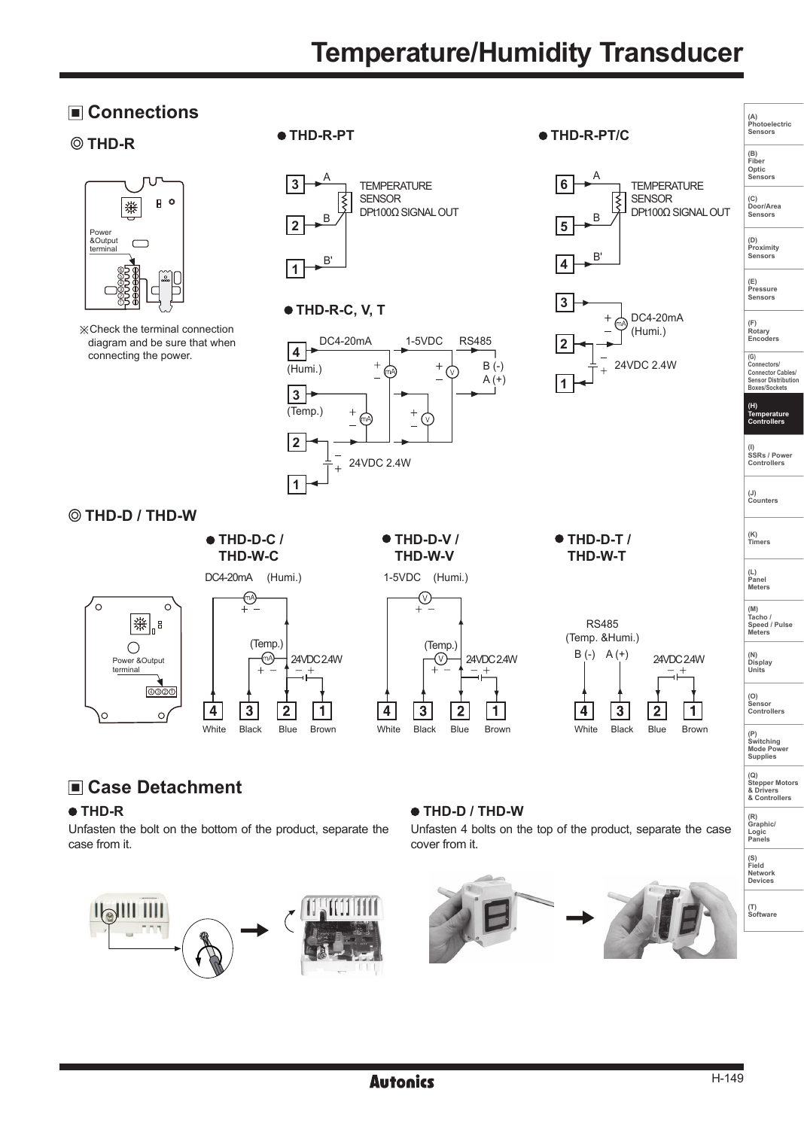# **Temperature/Humidity Transducer**





※Check the terminal connection diagram and be sure that when connecting the power.



 **THD-D / THD-W**





 $\overline{2}$ 

 $\mathbf{1}$ 

 $\overline{a}$ 

 $\mathbf{3}$ 

1-5VDC (Humi.)  **THD-W-V**







# **Case Detachment**

#### **THD-R**

Unfasten the bolt on the bottom of the product, separate the case from it.



#### **THD-D / THD-W**

Unfasten 4 bolts on the top of the product, separate the case cover from it.



**(G) Connectors/ Connector Cables/ Sensor Distribution Boxes/Sockets (H) Temperature Controllers (I) SSRs / Power Controllers**

**(J) Counters** 

**(K) Timers**

**(A) Photoelectric Sensors**

**(B) Fiber Optic Sensors**

**(C) Door/Area Sensors**

**(D) Proximity Sensors** 

**(E) Pressure Sensors** 

**(F) Rotary Encoders** 

 **THD-W-T**



**(N) Display Units (O) Sensor Controllers** 

**(P) Switching Mode Power Supplies** 

**(Q) Stepper Motors & Drivers & Controllers**

**(R) Graphic/ Logic Panels**

**(S) Field Network Devices**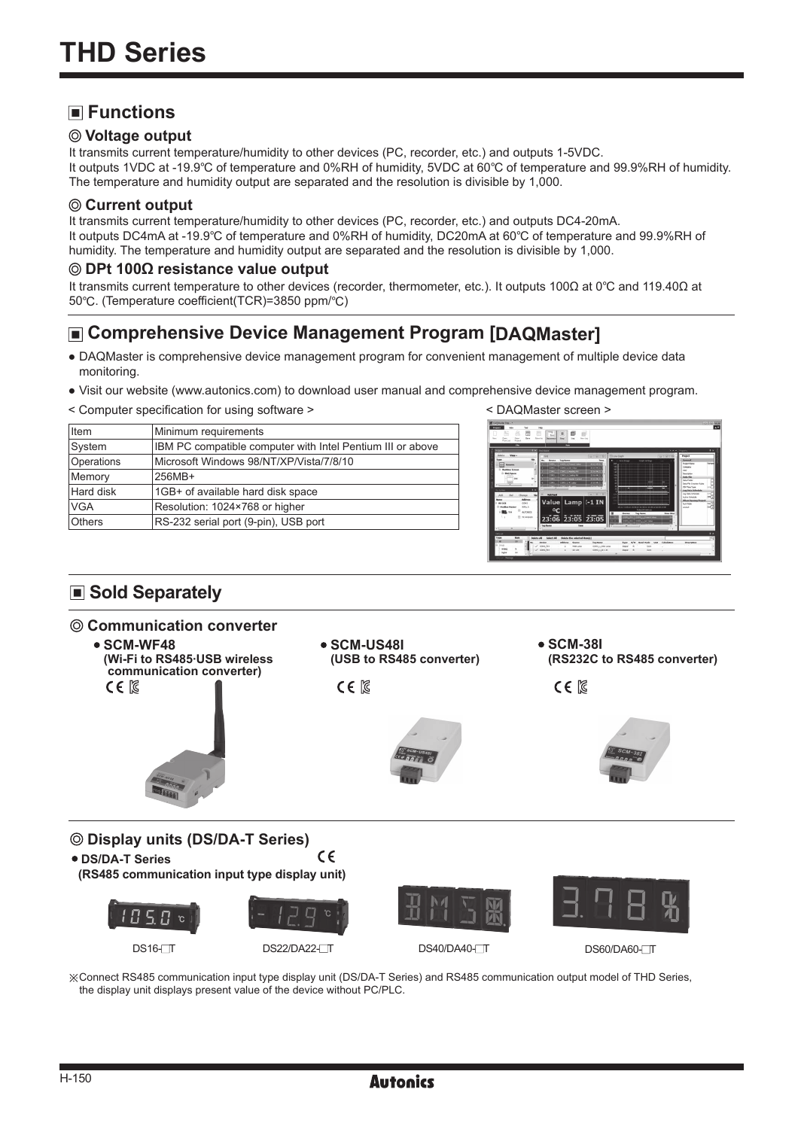# **Functions**

#### **Voltage output**

It transmits current temperature/humidity to other devices (PC, recorder, etc.) and outputs 1-5VDC. It outputs 1VDC at -19.9℃ of temperature and 0%RH of humidity, 5VDC at 60℃ of temperature and 99.9%RH of humidity. The temperature and humidity output are separated and the resolution is divisible by 1,000.

#### **Current output**

It transmits current temperature/humidity to other devices (PC, recorder, etc.) and outputs DC4-20mA. It outputs DC4mA at -19.9℃ of temperature and 0%RH of humidity, DC20mA at 60℃ of temperature and 99.9%RH of humidity. The temperature and humidity output are separated and the resolution is divisible by 1,000.

#### **DPt 100Ω resistance value output**

It transmits current temperature to other devices (recorder, thermometer, etc.). It outputs 100Ω at 0℃ and 119.40Ω at 50℃. (Temperature coefficient(TCR)=3850 ppm/℃)

# **Comprehensive Device Management Program [DAQMaster]**

- DAQMaster is comprehensive device management program for convenient management of multiple device data monitoring.
- Visit our website (www.autonics.com) to download user manual and comprehensive device management program.
- < Computer specification for using software > < DAQMaster screen >

| <b>Item</b>   | Minimum requirements                                       |
|---------------|------------------------------------------------------------|
| System        | IBM PC compatible computer with Intel Pentium III or above |
| Operations    | Microsoft Windows 98/NT/XP/Vista/7/8/10                    |
| Memory        | 256MB+                                                     |
| Hard disk     | 1GB+ of available hard disk space                          |
| <b>VGA</b>    | Resolution: 1024×768 or higher                             |
| <b>Others</b> | RS-232 serial port (9-pin), USB port                       |
|               |                                                            |



# ■ Sold Separately

#### **Communication converter**





※Connect RS485 communication input type display unit (DS/DA-T Series) and RS485 communication output model of THD Series, the display unit displays present value of the device without PC/PLC.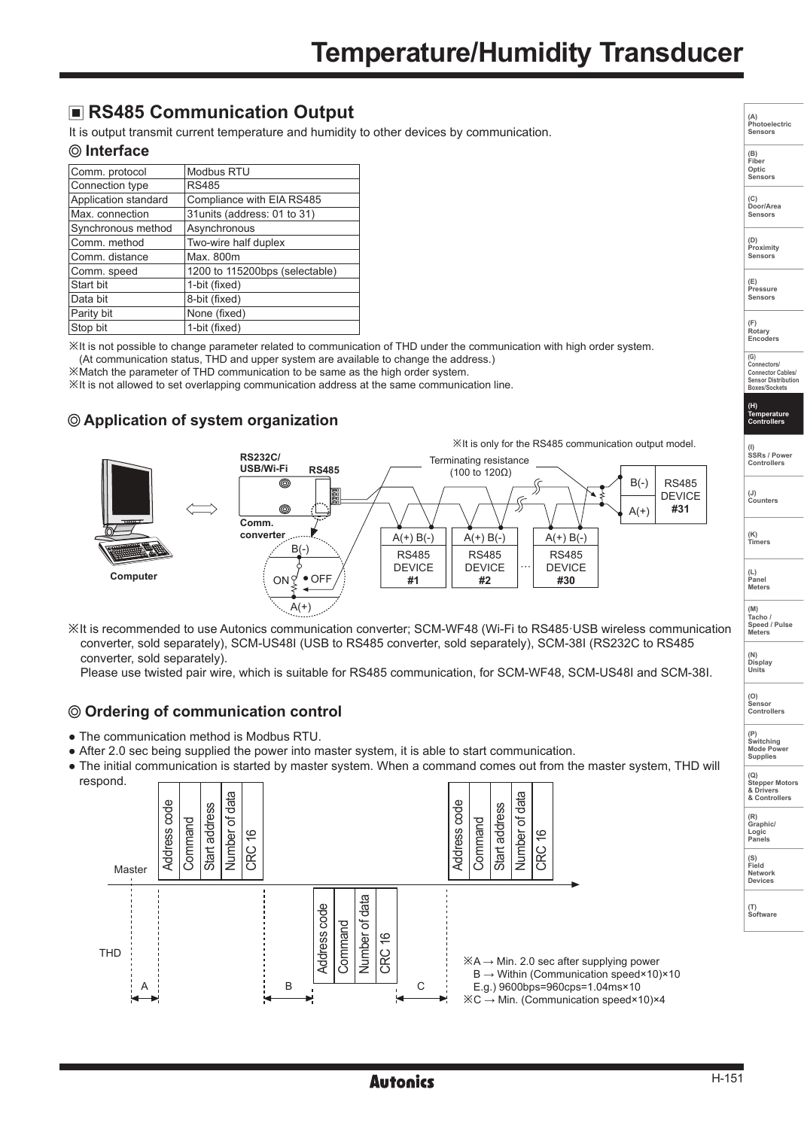# **RS485 Communication Output**

It is output transmit current temperature and humidity to other devices by communication.

#### **Interface**

| Comm. protocol       | Modbus RTU                     |
|----------------------|--------------------------------|
| Connection type      | <b>RS485</b>                   |
| Application standard | Compliance with EIA RS485      |
| Max. connection      | 31 units (address: 01 to 31)   |
| Synchronous method   | Asynchronous                   |
| Comm. method         | Two-wire half duplex           |
| Comm. distance       | Max. 800m                      |
| Comm. speed          | 1200 to 115200bps (selectable) |
| Start bit            | 1-bit (fixed)                  |
| Data bit             | 8-bit (fixed)                  |
| Parity bit           | None (fixed)                   |
| Stop bit             | 1-bit (fixed)                  |

※It is not possible to change parameter related to communication of THD under the communication with high order system.

(At communication status, THD and upper system are available to change the address.)

※Match the parameter of THD communication to be same as the high order system.

※It is not allowed to set overlapping communication address at the same communication line.

### **Application of system organization**



**Tacho / Speed / Pulse Meters (N) Display Units** ※It is recommended to use Autonics communication converter; SCM-WF48 (Wi-Fi to RS485·USB wireless communication converter, sold separately), SCM-US48I (USB to RS485 converter, sold separately), SCM-38I (RS232C to RS485 converter, sold separately).

Please use twisted pair wire, which is suitable for RS485 communication, for SCM-WF48, SCM-US48I and SCM-38I.

#### **Ordering of communication control**

- The communication method is Modbus RTU.
- After 2.0 sec being supplied the power into master system, it is able to start communication.
- **(P) Switching Mode Power Supplies (Q) Stepper Motors & Drivers & Controllers** ● The initial communication is started by master system. When a command comes out from the master system, THD will





**(A) Photoelectric Sensors (B) Fiber Optic Sensors**

**(C) Door/Area Sensors**

**(D) Proximity Sensors** 

**(E) Pressure Sensors** 

**(F) Rotary Encoders** 

**(G) Connectors/ Connector Cables/ Sensor Distribution Boxes/Sockets (H) Temperature Controllers**

**(I) SSRs / Power Controllers**

**(J) Counters** 

**(K) Timers**

**(L) Panel Meters (M)**

**(O) Sensor Controllers** 

**(R) Graphic/ Logic Panels**

**(S) Field Network Devices**

**(T) Software**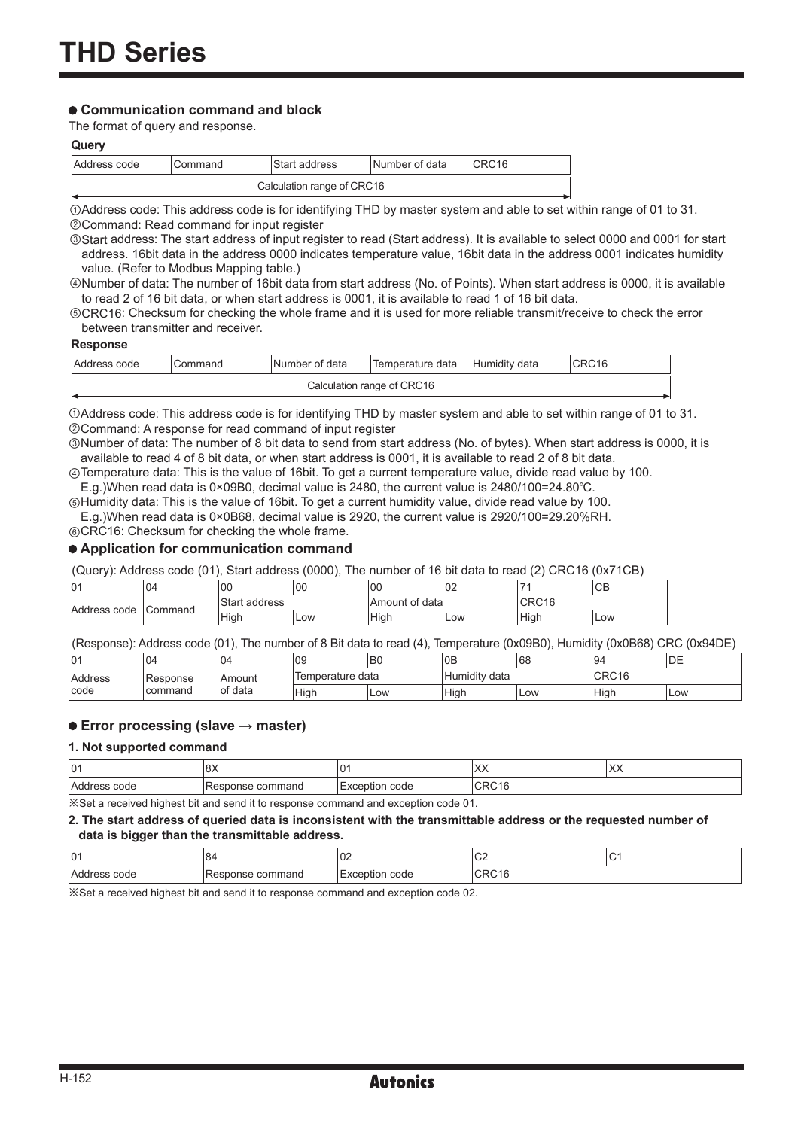#### **Communication command and block**

The format of query and response.

#### **Query**

| Address code               | Command | Start address | Number of data | ICRC16 |  |
|----------------------------|---------|---------------|----------------|--------|--|
| Calculation range of CRC16 |         |               |                |        |  |

①Address code: This address code is for identifying THD by master system and able to set within range of 01 to 31. ②Command: Read command for input register

③Start address: The start address of input register to read (Start address). It is available to select 0000 and 0001 for start address. 16bit data in the address 0000 indicates temperature value, 16bit data in the address 0001 indicates humidity value. (Refer to Modbus Mapping table.)

④Number of data: The number of 16bit data from start address (No. of Points). When start address is 0000, it is available to read 2 of 16 bit data, or when start address is 0001, it is available to read 1 of 16 bit data.

⑤CRC16: Checksum for checking the whole frame and it is used for more reliable transmit/receive to check the error between transmitter and receiver.

#### **Response**

| IAddress code                     | Command | INumber of data | Temperature data | Humidity data | CRC16 |  |
|-----------------------------------|---------|-----------------|------------------|---------------|-------|--|
| Calculation range of CRC16<br>. . |         |                 |                  |               |       |  |

①Address code: This address code is for identifying THD by master system and able to set within range of 01 to 31. ②Command: A response for read command of input register

③Number of data: The number of 8 bit data to send from start address (No. of bytes). When start address is 0000, it is available to read 4 of 8 bit data, or when start address is 0001, it is available to read 2 of 8 bit data.

④Temperature data: This is the value of 16bit. To get a current temperature value, divide read value by 100. E.g.)When read data is 0×09B0, decimal value is 2480, the current value is 2480/100=24.80℃.

⑤Humidity data: This is the value of 16bit. To get a current humidity value, divide read value by 100. E.g.)When read data is 0×0B68, decimal value is 2920, the current value is 2920/100=29.20%RH.

⑥CRC16: Checksum for checking the whole frame.

#### **Application for communication command**

(Query): Address code (01), Start address (0000), The number of 16 bit data to read (2) CRC16 (0x71CB)

| l01          | 04              | $_{00}$          | 100 | 00                  | 02  | -                            | CB  |
|--------------|-----------------|------------------|-----|---------------------|-----|------------------------------|-----|
| Address code | <b>ICommand</b> | Start<br>address |     | ⊤of data<br>:Amount |     | $\cap$ D $\cap$ 12<br>UNU 10 |     |
|              |                 | High             | Low | Hiah                | Low | Hiah                         | Low |

(Response): Address code (01), The number of 8 Bit data to read (4), Temperature (0x09B0), Humidity (0x0B68) CRC (0x94DE)

| l01            | 104       | 04       | 109              | B0  | 0 <sub>E</sub>     | 68  | 94    | DE  |
|----------------|-----------|----------|------------------|-----|--------------------|-----|-------|-----|
| <b>Address</b> | 'Response | l Amount | Temperature data |     | .<br>Humidity data |     | CRC16 |     |
| Icode          | command   | of data  | <b>High</b>      | Low | Hiah               | Low | High  | Low |

#### **Error processing (slave → master)**

#### **1. Not supported command**

| 101          | $\sim$<br>$\circ$ | $\Omega$<br>u            | $\lambda$<br>⌒⌒   | $\vee$<br>IAA |  |  |
|--------------|-------------------|--------------------------|-------------------|---------------|--|--|
| Address code | Response command  | code<br><b>Exception</b> | CRC <sub>16</sub> |               |  |  |
|              |                   |                          |                   |               |  |  |

※Set a received highest bit and send it to response command and exception code 01.

#### **2. The start address of queried data is inconsistent with the transmittable address or the requested number of data is bigger than the transmittable address.**

| 01           | O۴              | $\sim$<br>νZ                                                       | $\sim$<br>◡▵<br>__ |  |
|--------------|-----------------|--------------------------------------------------------------------|--------------------|--|
| 'Agu<br>code | command<br>onse | $\sim$ $\sim$ $\sim$<br>$\sim$<br>and the contract of<br>coue<br>∽ | п.<br>Ś            |  |

※Set a received highest bit and send it to response command and exception code 02.